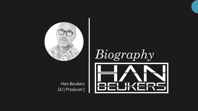

#### *Han Beukers DJ | Producer |*



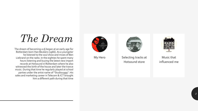### *The Dream*

The dream of becoming a dj began at an early age for Rotterdam born Han Beukers (1966). As a youngster he listened to the soul show and mixes of Ben Liebrand on the radio. In the eighties he spent many hours listening and buying the latest new import records at Hotsound in Rotterdam where he also witnessed the birth of the house and later the trance music. During that time he regularly played at school parties under the artist name of "Studio1999". His sales and marketing career in Telecom & ICT brought him a different path during that time





My Hero Selecting tracks at Hotsound store



Music that influenced me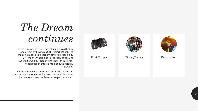## *The Dream continues*

In the summer of 2015, Han refueled his old hobby and dream by buying a USB Numark DJ -set. The mixes he made as a bedroom dj were picked up by RTV Krimpenerwaard and in February of 2016 he launched a weekly radio show called Time4Trance. The fan base of this live radio show is steadily growing.

His enthusiasm for the Trance music and mixing did not remain unnoticed and in 2017 Han gets his shot at his boyhood dream with some live performances.



First DJ gear Time4Trance Performing



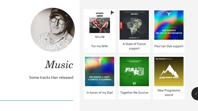

*Music*

Some tracks Han released

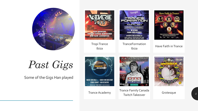



# *Past Gigs*

Some of the Gigs Han played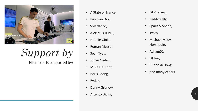

*Support by*

- 
- 
- 
- 
- 
- 
- 
- 
- Misja Helsloot,
- Boris Foong,
- Rydex,
- Danny Grunow,
- Artento Divini,
- DJ Phalanx,
- Paddy Kelly,
- Spark & Shade,
- Tycos,
- Michael Milov, Northpole,
- Ayham52
- DJ Ten,
- Ruben de Jong
- and many others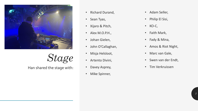

#### *Stage*

Han shared the stage with:

- Richard Durand,
- Sean Tyas,
- Xijaro & Pitch,
- Alex M.O.P.H.,
- Johan Gielen,
- John O'Callaghan,
- Misja Helsloot,
- Artento Divini,
- Davey Asprey,
- Mike Spinner,
- Adam Seller,
- Philip El Sisi,
- KO-C,
- Faith Mark,
- Fady & Mina,
- Amos & Riot Night,
- Marc van Gale,
- Swen van der Endt,
- Tim Verkruissen